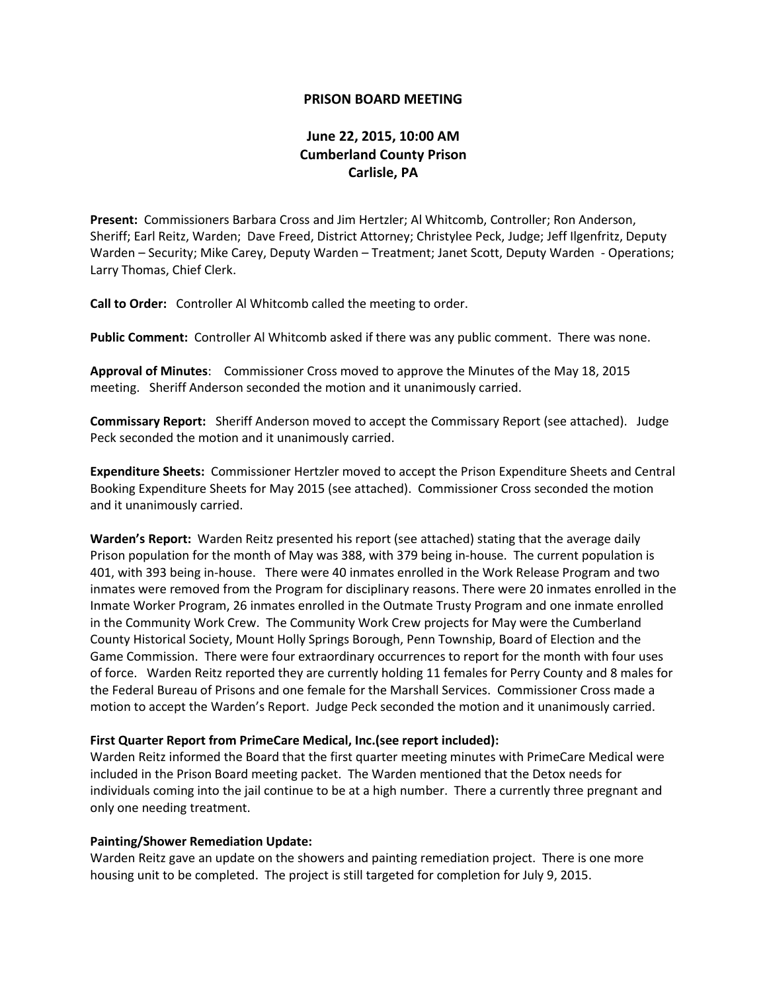## **PRISON BOARD MEETING**

## **June 22, 2015, 10:00 AM Cumberland County Prison Carlisle, PA**

**Present:** Commissioners Barbara Cross and Jim Hertzler; Al Whitcomb, Controller; Ron Anderson, Sheriff; Earl Reitz, Warden; Dave Freed, District Attorney; Christylee Peck, Judge; Jeff Ilgenfritz, Deputy Warden – Security; Mike Carey, Deputy Warden – Treatment; Janet Scott, Deputy Warden - Operations; Larry Thomas, Chief Clerk.

**Call to Order:** Controller Al Whitcomb called the meeting to order.

**Public Comment:** Controller Al Whitcomb asked if there was any public comment. There was none.

**Approval of Minutes**: Commissioner Cross moved to approve the Minutes of the May 18, 2015 meeting. Sheriff Anderson seconded the motion and it unanimously carried.

**Commissary Report:** Sheriff Anderson moved to accept the Commissary Report (see attached). Judge Peck seconded the motion and it unanimously carried.

**Expenditure Sheets:** Commissioner Hertzler moved to accept the Prison Expenditure Sheets and Central Booking Expenditure Sheets for May 2015 (see attached). Commissioner Cross seconded the motion and it unanimously carried.

**Warden's Report:** Warden Reitz presented his report (see attached) stating that the average daily Prison population for the month of May was 388, with 379 being in-house. The current population is 401, with 393 being in-house. There were 40 inmates enrolled in the Work Release Program and two inmates were removed from the Program for disciplinary reasons. There were 20 inmates enrolled in the Inmate Worker Program, 26 inmates enrolled in the Outmate Trusty Program and one inmate enrolled in the Community Work Crew. The Community Work Crew projects for May were the Cumberland County Historical Society, Mount Holly Springs Borough, Penn Township, Board of Election and the Game Commission. There were four extraordinary occurrences to report for the month with four uses of force. Warden Reitz reported they are currently holding 11 females for Perry County and 8 males for the Federal Bureau of Prisons and one female for the Marshall Services. Commissioner Cross made a motion to accept the Warden's Report. Judge Peck seconded the motion and it unanimously carried.

## **First Quarter Report from PrimeCare Medical, Inc.(see report included):**

Warden Reitz informed the Board that the first quarter meeting minutes with PrimeCare Medical were included in the Prison Board meeting packet. The Warden mentioned that the Detox needs for individuals coming into the jail continue to be at a high number. There a currently three pregnant and only one needing treatment.

## **Painting/Shower Remediation Update:**

Warden Reitz gave an update on the showers and painting remediation project. There is one more housing unit to be completed. The project is still targeted for completion for July 9, 2015.